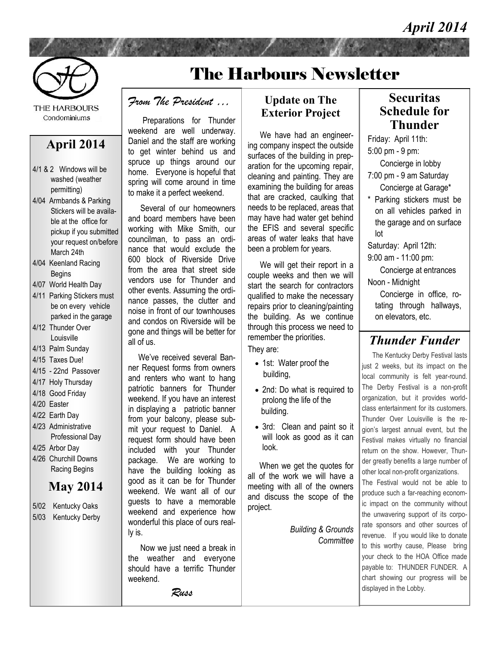## *April 2014*



**THE HARBOURS** Condominiums

### **April 2014**

- 4/1 & 2 Windows will be washed (weather permitting)
- 4/04 Armbands & Parking Stickers will be available at the office for pickup if you submitted your request on/before March 24th
- 4/04 Keenland Racing Begins
- 4/07 World Health Day
- 4/11 Parking Stickers must be on every vehicle parked in the garage
- 4/12 Thunder Over Louisville
- 4/13 Palm Sunday
- 4/15 Taxes Due!
- 4/15 22nd Passover
- 4/17 Holy Thursday
- 4/18 Good Friday
- 4/20 Easter
- 4/22 Earth Day 4/23 Administrative
- Professional Day
- 4/25 Arbor Day
- 4/26 Churchill Downs Racing Begins

## **May 2014**

- 5/02 Kentucky Oaks
- 5/03 Kentucky Derby

# The Harbours Newsletter

#### *From The President …*

Preparations for Thunder weekend are well underway. Daniel and the staff are working to get winter behind us and spruce up things around our home. Everyone is hopeful that spring will come around in time to make it a perfect weekend.

 Several of our homeowners and board members have been working with Mike Smith, our councilman, to pass an ordinance that would exclude the 600 block of Riverside Drive from the area that street side vendors use for Thunder and other events. Assuming the ordinance passes, the clutter and noise in front of our townhouses and condos on Riverside will be gone and things will be better for all of us.

 We've received several Banner Request forms from owners and renters who want to hang patriotic banners for Thunder weekend. If you have an interest in displaying a patriotic banner from your balcony, please submit your request to Daniel. A request form should have been included with your Thunder package. We are working to have the building looking as good as it can be for Thunder weekend. We want all of our guests to have a memorable weekend and experience how wonderful this place of ours really is.

 Now we just need a break in the weather and everyone should have a terrific Thunder weekend.

*Russ*

### **Update on The Exterior Project**

 We have had an engineering company inspect the outside surfaces of the building in preparation for the upcoming repair, cleaning and painting. They are examining the building for areas that are cracked, caulking that needs to be replaced, areas that may have had water get behind the EFIS and several specific areas of water leaks that have been a problem for years.

 We will get their report in a couple weeks and then we will start the search for contractors qualified to make the necessary repairs prior to cleaning/painting the building. As we continue through this process we need to remember the priorities.

They are:

- 1st: Water proof the building,
- 2nd: Do what is required to prolong the life of the building.
- 3rd: Clean and paint so it will look as good as it can look.

 When we get the quotes for all of the work we will have a meeting with all of the owners and discuss the scope of the project.

> *Building & Grounds Committee*

### **Securitas Schedule for Thunder**

Friday: April 11th: 5:00 pm - 9 pm: Concierge in lobby 7:00 pm - 9 am Saturday Concierge at Garage\* \* Parking stickers must be

on all vehicles parked in the garage and on surface lot

Saturday: April 12th:

9:00 am - 11:00 pm:

 Concierge at entrances Noon - Midnight

 Concierge in office, rotating through hallways, on elevators, etc.

## *Thunder Funder*

 The Kentucky Derby Festival lasts just 2 weeks, but its impact on the local community is felt year-round. The Derby Festival is a non-profit organization, but it provides worldclass entertainment for its customers. Thunder Over Louisville is the region's largest annual event, but the Festival makes virtually no financial return on the show. However, Thunder greatly benefits a large number of other local non-profit organizations. The Festival would not be able to

produce such a far-reaching economic impact on the community without the unwavering support of its corporate sponsors and other sources of revenue. If you would like to donate to this worthy cause, Please bring your check to the HOA Office made payable to: THUNDER FUNDER. A chart showing our progress will be displayed in the Lobby.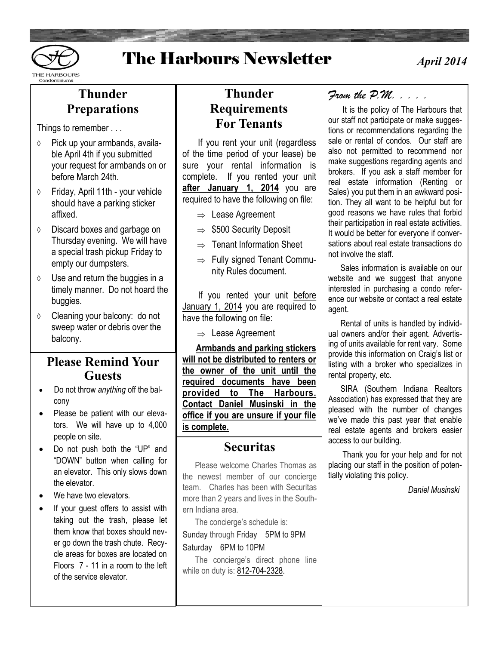

## The Harbours Newsletter

## **Thunder Preparations**

Things to remember . . .

- $\diamond$  Pick up your armbands, available April 4th if you submitted your request for armbands on or before March 24th
- $\Diamond$  Friday, April 11th your vehicle should have a parking sticker affixed.
- Discard boxes and garbage on Thursday evening. We will have a special trash pickup Friday to empty our dumpsters.
- $\Diamond$  Use and return the buggies in a timely manner. Do not hoard the buggies.
- Cleaning your balcony: do not sweep water or debris over the balcony.

## **Please Remind Your Guests**

- Do not throw *anything* off the balcony
- Please be patient with our elevators. We will have up to 4,000 people on site.
- Do not push both the "UP" and "DOWN" button when calling for an elevator. This only slows down the elevator.
- We have two elevators.
- If your guest offers to assist with taking out the trash, please let them know that boxes should never go down the trash chute. Recycle areas for boxes are located on Floors 7 - 11 in a room to the left of the service elevator.

## **Thunder Requirements For Tenants**

 If you rent your unit (regardless of the time period of your lease) be sure your rental information is complete. If you rented your unit **after January 1, 2014** you are required to have the following on file:

- $\Rightarrow$  Lease Agreement
- $\Rightarrow$  \$500 Security Deposit
- $\Rightarrow$  Tenant Information Sheet
- $\Rightarrow$  Fully signed Tenant Community Rules document.

If you rented your unit before January 1, 2014 you are required to have the following on file:

 $\Rightarrow$  Lease Agreement

 **Armbands and parking stickers will not be distributed to renters or the owner of the unit until the required documents have been provided to The Harbours. Contact Daniel Musinski in the office if you are unsure if your file is complete.**

### **Securitas**

 Please welcome Charles Thomas as the newest member of our concierge team. Charles has been with Securitas more than 2 years and lives in the Southern Indiana area.

The concierge's schedule is:

Sunday through Friday 5PM to 9PM Saturday 6PM to 10PM

 The concierge's direct phone line while on duty is: [812-704-2328.](tel:812-704-2328)

### *From the P.M. . . . .*

 It is the policy of The Harbours that our staff not participate or make suggestions or recommendations regarding the sale or rental of condos. Our staff are also not permitted to recommend nor make suggestions regarding agents and brokers. If you ask a staff member for real estate information (Renting or Sales) you put them in an awkward position. They all want to be helpful but for good reasons we have rules that forbid their participation in real estate activities. It would be better for everyone if conversations about real estate transactions do not involve the staff.

 Sales information is available on our website and we suggest that anyone interested in purchasing a condo reference our website or contact a real estate agent.

 Rental of units is handled by individual owners and/or their agent. Advertising of units available for rent vary. Some provide this information on Craig's list or listing with a broker who specializes in rental property, etc.

 SIRA (Southern Indiana Realtors Association) has expressed that they are pleased with the number of changes we've made this past year that enable real estate agents and brokers easier access to our building.

 Thank you for your help and for not placing our staff in the position of potentially violating this policy.

 *Daniel Musinski*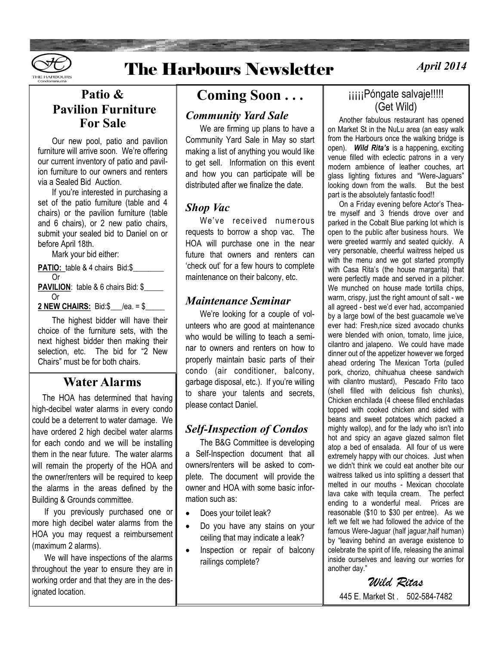

# **The Harbours Newsletter**

## **Patio & Pavilion Furniture For Sale**

Our new pool, patio and pavilion furniture will arrive soon. We're offering our current inventory of patio and pavilion furniture to our owners and renters via a Sealed Bid Auction.

If you're interested in purchasing a set of the patio furniture (table and 4 chairs) or the pavilion furniture (table and 6 chairs), or 2 new patio chairs, submit your sealed bid to Daniel on or before April 18th.

Mark your bid either:

**PATIO:** table & 4 chairs Bid:\$ Or PAVILION: table & 6 chairs Bid: \$ Or **2 NEW CHAIRS:** Bid:\$ /ea. = \$

The highest bidder will have their choice of the furniture sets, with the next highest bidder then making their selection, etc. The bid for "2 New Chairs" must be for both chairs.

### **Water Alarms**

 The HOA has determined that having high-decibel water alarms in every condo could be a deterrent to water damage. We have ordered 2 high decibel water alarms for each condo and we will be installing them in the near future. The water alarms will remain the property of the HOA and the owner/renters will be required to keep the alarms in the areas defined by the Building & Grounds committee.

 If you previously purchased one or more high decibel water alarms from the HOA you may request a reimbursement (maximum 2 alarms).

 We will have inspections of the alarms throughout the year to ensure they are in working order and that they are in the designated location.

## **Coming Soon . . .**

### *Community Yard Sale*

 We are firming up plans to have a Community Yard Sale in May so start making a list of anything you would like to get sell. Information on this event and how you can participate will be distributed after we finalize the date.

### *Shop Vac*

 We've received numerous requests to borrow a shop vac. The HOA will purchase one in the near future that owners and renters can 'check out' for a few hours to complete maintenance on their balcony, etc.

### *Maintenance Seminar*

 We're looking for a couple of volunteers who are good at maintenance who would be willing to teach a seminar to owners and renters on how to properly maintain basic parts of their condo (air conditioner, balcony, garbage disposal, etc.). If you're willing to share your talents and secrets, please contact Daniel.

### *Self-Inspection of Condos*

 The B&G Committee is developing a Self-Inspection document that all owners/renters will be asked to complete. The document will provide the owner and HOA with some basic information such as:

- Does your toilet leak?
- Do you have any stains on your ceiling that may indicate a leak?
- Inspection or repair of balcony railings complete?

### jijijiPóngate salvaje!!!!! (Get Wild)

 Another fabulous restaurant has opened on Market St in the NuLu area (an easy walk from the Harbours once the walking bridge is open). *Wild Rita's* is a happening, exciting venue filled with eclectic patrons in a very modern ambience of leather couches, art glass lighting fixtures and "Were-Jaguars" looking down from the walls. But the best part is the absolutely fantastic food!!

 On a Friday evening before Actor's Theatre myself and 3 friends drove over and parked in the Cobalt Blue parking lot which is open to the public after business hours. We were greeted warmly and seated quickly. A very personable, cheerful waitress helped us with the menu and we got started promptly with Casa Rita's (the house margarita) that were perfectly made and served in a pitcher. We munched on house made tortilla chips. warm, crispy, just the right amount of salt - we all agreed - best we'd ever had, accompanied by a large bowl of the best guacamole we've ever had: Fresh,nice sized avocado chunks were blended with onion, tomato, lime juice, cilantro and jalapeno. We could have made dinner out of the appetizer however we forged ahead ordering The Mexican Torta (pulled pork, chorizo, chihuahua cheese sandwich with cilantro mustard), Pescado Frito taco (shell filled with delicious fish chunks), Chicken enchilada (4 cheese filled enchiladas topped with cooked chicken and sided with beans and sweet potatoes which packed a mighty wallop), and for the lady who isn't into hot and spicy an agave glazed salmon filet atop a bed of ensalada. All four of us were extremely happy with our choices. Just when we didn't think we could eat another bite our waitress talked us into splitting a dessert that melted in our mouths - Mexican chocolate lava cake with tequila cream. The perfect ending to a wonderful meal. Prices are reasonable (\$10 to \$30 per entree). As we left we felt we had followed the advice of the famous Were-Jaguar (half jaguar,half human) by "leaving behind an average existence to celebrate the spirit of life, releasing the animal inside ourselves and leaving our worries for another day."

*Wild Ritas* 445 E. Market St . 502-584-7482